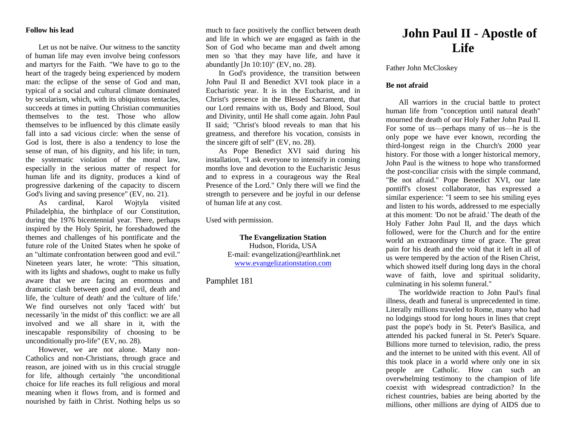#### **Follow his lead**

Let us not be naïve. Our witness to the sanctity of human life may even involve being confessors and martyrs for the Faith. "We have to go to the heart of the tragedy being experienced by modern man: the eclipse of the sense of God and man, typical of a social and cultural climate dominated by secularism, which, with its ubiquitous tentacles, succeeds at times in putting Christian communities themselves to the test. Those who allow themselves to be influenced by this climate easily fall into a sad vicious circle: when the sense of God is lost, there is also a tendency to lose the sense of man, of his dignity, and his life; in turn, the systematic violation of the moral law, especially in the serious matter of respect for human life and its dignity, produces a kind of progressive darkening of the capacity to discern God's living and saving presence" (EV, no. 21).

As cardinal, Karol Wojtyla visited Philadelphia, the birthplace of our Constitution, during the 1976 bicentennial year. There, perhaps inspired by the Holy Spirit, he foreshadowed the themes and challenges of his pontificate and the future role of the United States when he spoke of an "ultimate confrontation between good and evil." Nineteen years later, he wrote: "This situation, with its lights and shadows, ought to make us fully aware that we are facing an enormous and dramatic clash between good and evil, death and life, the 'culture of death' and the 'culture of life.' We find ourselves not only 'faced with' but necessarily 'in the midst of' this conflict: we are all involved and we all share in it, with the inescapable responsibility of choosing to be unconditionally pro-life" (EV, no. 28).

However, we are not alone. Many non-Catholics and non-Christians, through grace and reason, are joined with us in this crucial struggle for life, although certainly "the unconditional choice for life reaches its full religious and moral meaning when it flows from, and is formed and nourished by faith in Christ. Nothing helps us so

much to face positively the conflict between death and life in which we are engaged as faith in the Son of God who became man and dwelt among men so 'that they may have life, and have it abundantly [Jn 10:10)" (EV, no. 28).

In God's providence, the transition between John Paul II and Benedict XVI took place in a Eucharistic year. It is in the Eucharist, and in Christ's presence in the Blessed Sacrament, that our Lord remains with us, Body and Blood, Soul and Divinity, until He shall come again. John Paul II said; "Christ's blood reveals to man that his greatness, and therefore his vocation, consists in the sincere gift of self" (EV, no. 28).

As Pope Benedict XVI said during his installation, "I ask everyone to intensify in coming months love and devotion to the Eucharistic Jesus and to express in a courageous way the Real Presence of the Lord." Only there will we find the strength to persevere and be joyful in our defense of human life at any cost.

Used with permission.

**The Evangelization Station** Hudson, Florida, USA E-mail: evangelization@earthlink.net [www.evangelizationstation.com](http://www.pjpiisoe.org/)

Pamphlet 181

# **John Paul II - Apostle of Life**

Father John McCloskey

#### **Be not afraid**

All warriors in the crucial battle to protect human life from "conception until natural death" mourned the death of our Holy Father John Paul II. For some of us—perhaps many of us—he is the only pope we have ever known, recording the third-longest reign in the Church's 2000 year history. For those with a longer historical memory, John Paul is the witness to hope who transformed the post-conciliar crisis with the simple command, "Be not afraid." Pope Benedict XVI, our late pontiff's closest collaborator, has expressed a similar experience: "I seem to see his smiling eyes and listen to his words, addressed to me especially at this moment: 'Do not be afraid.' The death of the Holy Father John Paul II, and the days which followed, were for the Church and for the entire world an extraordinary time of grace. The great pain for his death and the void that it left in all of us were tempered by the action of the Risen Christ, which showed itself during long days in the choral wave of faith, love and spiritual solidarity, culminating in his solemn funeral."

The worldwide reaction to John Paul's final illness, death and funeral is unprecedented in time. Literally millions traveled to Rome, many who had no lodgings stood for long hours in lines that crept past the pope's body in St. Peter's Basilica, and attended his packed funeral in St. Peter's Square. Billions more turned to television, radio, the press and the internet to be united with this event. All of this took place in a world where only one in six people are Catholic. How can such an overwhelming testimony to the champion of life coexist with widespread contradiction? In the richest countries, babies are being aborted by the millions, other millions are dying of AIDS due to